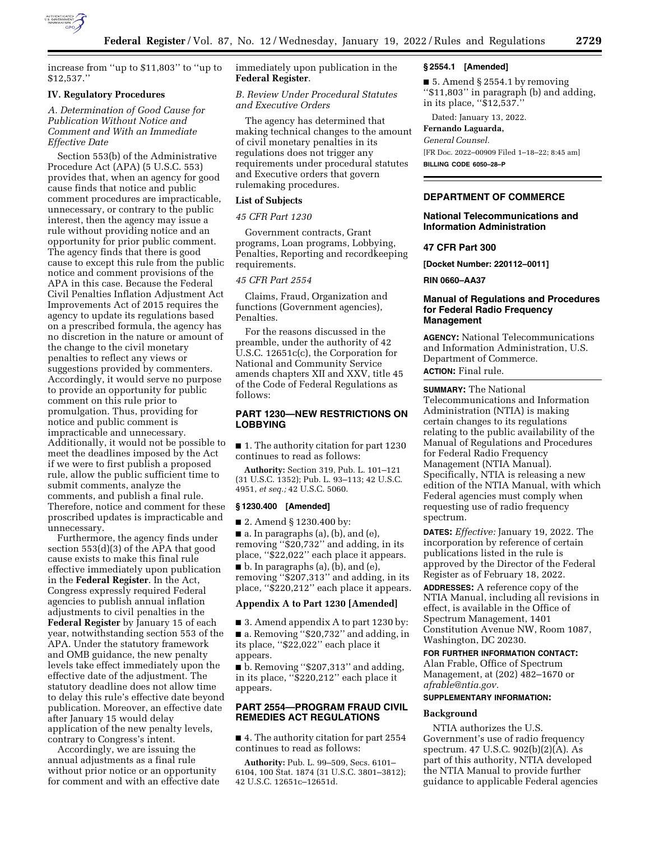

increase from ''up to \$11,803'' to ''up to \$12,537.''

### **IV. Regulatory Procedures**

## *A. Determination of Good Cause for Publication Without Notice and Comment and With an Immediate Effective Date*

Section 553(b) of the Administrative Procedure Act (APA) (5 U.S.C. 553) provides that, when an agency for good cause finds that notice and public comment procedures are impracticable, unnecessary, or contrary to the public interest, then the agency may issue a rule without providing notice and an opportunity for prior public comment. The agency finds that there is good cause to except this rule from the public notice and comment provisions of the APA in this case. Because the Federal Civil Penalties Inflation Adjustment Act Improvements Act of 2015 requires the agency to update its regulations based on a prescribed formula, the agency has no discretion in the nature or amount of the change to the civil monetary penalties to reflect any views or suggestions provided by commenters. Accordingly, it would serve no purpose to provide an opportunity for public comment on this rule prior to promulgation. Thus, providing for notice and public comment is impracticable and unnecessary. Additionally, it would not be possible to meet the deadlines imposed by the Act if we were to first publish a proposed rule, allow the public sufficient time to submit comments, analyze the comments, and publish a final rule. Therefore, notice and comment for these proscribed updates is impracticable and unnecessary.

Furthermore, the agency finds under section 553(d)(3) of the APA that good cause exists to make this final rule effective immediately upon publication in the **Federal Register**. In the Act, Congress expressly required Federal agencies to publish annual inflation adjustments to civil penalties in the **Federal Register** by January 15 of each year, notwithstanding section 553 of the APA. Under the statutory framework and OMB guidance, the new penalty levels take effect immediately upon the effective date of the adjustment. The statutory deadline does not allow time to delay this rule's effective date beyond publication. Moreover, an effective date after January 15 would delay application of the new penalty levels, contrary to Congress's intent.

Accordingly, we are issuing the annual adjustments as a final rule without prior notice or an opportunity for comment and with an effective date immediately upon publication in the **Federal Register**.

*B. Review Under Procedural Statutes and Executive Orders* 

The agency has determined that making technical changes to the amount of civil monetary penalties in its regulations does not trigger any requirements under procedural statutes and Executive orders that govern rulemaking procedures.

#### **List of Subjects**

## *45 CFR Part 1230*

Government contracts, Grant programs, Loan programs, Lobbying, Penalties, Reporting and recordkeeping requirements.

## *45 CFR Part 2554*

Claims, Fraud, Organization and functions (Government agencies), Penalties.

For the reasons discussed in the preamble, under the authority of 42 U.S.C. 12651c(c), the Corporation for National and Community Service amends chapters XII and XXV, title 45 of the Code of Federal Regulations as follows:

## **PART 1230—NEW RESTRICTIONS ON LOBBYING**

■ 1. The authority citation for part 1230 continues to read as follows:

**Authority:** Section 319, Pub. L. 101–121 (31 U.S.C. 1352); Pub. L. 93–113; 42 U.S.C. 4951, *et seq.;* 42 U.S.C. 5060.

#### **§ 1230.400 [Amended]**

■ 2. Amend § 1230.400 by:

 $\blacksquare$  a. In paragraphs (a), (b), and (e), removing ''\$20,732'' and adding, in its place, ''\$22,022'' each place it appears.

■ b. In paragraphs (a), (b), and (e), removing ''\$207,313'' and adding, in its place, ''\$220,212'' each place it appears.

#### **Appendix A to Part 1230 [Amended]**

■ 3. Amend appendix A to part 1230 by: ■ a. Removing "\$20,732" and adding, in its place, ''\$22,022'' each place it appears.

■ b. Removing "\$207,313" and adding, in its place, ''\$220,212'' each place it appears.

# **PART 2554—PROGRAM FRAUD CIVIL REMEDIES ACT REGULATIONS**

■ 4. The authority citation for part 2554 continues to read as follows:

**Authority:** Pub. L. 99–509, Secs. 6101– 6104, 100 Stat. 1874 (31 U.S.C. 3801–3812); 42 U.S.C. 12651c–12651d.

#### **§ 2554.1 [Amended]**

■ 5. Amend § 2554.1 by removing ''\$11,803'' in paragraph (b) and adding, in its place, ''\$12,537.''

Dated: January 13, 2022.

#### **Fernando Laguarda,**

*General Counsel.*  [FR Doc. 2022–00909 Filed 1–18–22; 8:45 am] **BILLING CODE 6050–28–P** 

# **DEPARTMENT OF COMMERCE**

## **National Telecommunications and Information Administration**

## **47 CFR Part 300**

**[Docket Number: 220112–0011]** 

**RIN 0660–AA37** 

## **Manual of Regulations and Procedures for Federal Radio Frequency Management**

**AGENCY:** National Telecommunications and Information Administration, U.S. Department of Commerce.

**ACTION:** Final rule.

**SUMMARY:** The National Telecommunications and Information Administration (NTIA) is making certain changes to its regulations relating to the public availability of the Manual of Regulations and Procedures for Federal Radio Frequency Management (NTIA Manual). Specifically, NTIA is releasing a new edition of the NTIA Manual, with which Federal agencies must comply when requesting use of radio frequency spectrum.

**DATES:** *Effective:* January 19, 2022. The incorporation by reference of certain publications listed in the rule is approved by the Director of the Federal Register as of February 18, 2022.

**ADDRESSES:** A reference copy of the NTIA Manual, including all revisions in effect, is available in the Office of Spectrum Management, 1401 Constitution Avenue NW, Room 1087, Washington, DC 20230.

**FOR FURTHER INFORMATION CONTACT:**  Alan Frable, Office of Spectrum Management, at (202) 482–1670 or *[afrable@ntia.gov.](mailto:afrable@ntia.gov)* 

## **SUPPLEMENTARY INFORMATION:**

## **Background**

NTIA authorizes the U.S. Government's use of radio frequency spectrum. 47 U.S.C. 902(b)(2)(A). As part of this authority, NTIA developed the NTIA Manual to provide further guidance to applicable Federal agencies